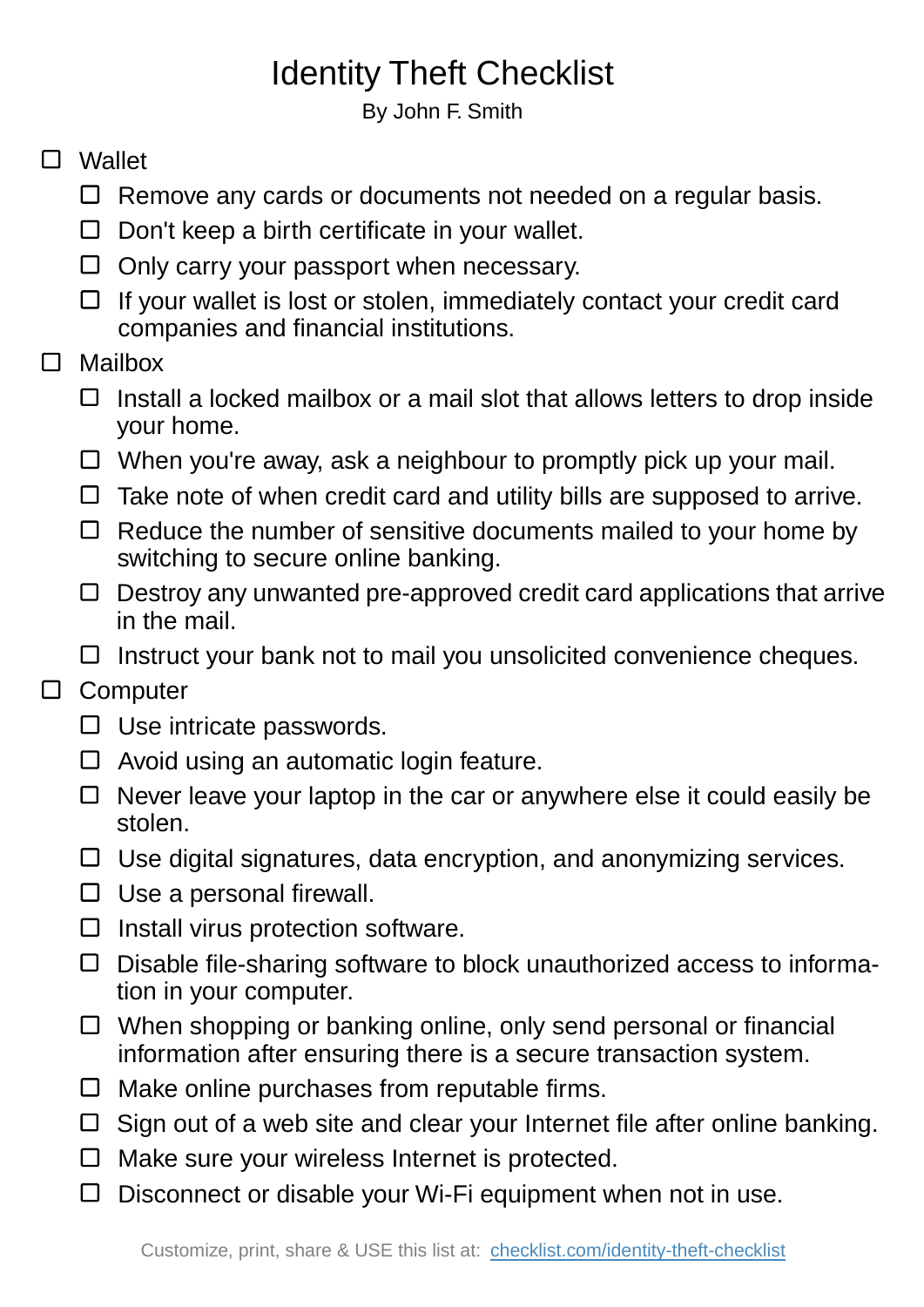## Identity Theft Checklist

By John F. Smith

## □ Wallet

- $\Box$  Remove any cards or documents not needed on a regular basis.
- $\Box$  Don't keep a birth certificate in your wallet.
- $\Box$  Only carry your passport when necessary.
- $\Box$  If your wallet is lost or stolen, immediately contact your credit card companies and financial institutions.
- $\Box$ Mailbox
	- $\Box$  Install a locked mailbox or a mail slot that allows letters to drop inside your home.
	- $\Box$  When you're away, ask a neighbour to promptly pick up your mail.
	- $\Box$  Take note of when credit card and utility bills are supposed to arrive.
	- $\Box$  Reduce the number of sensitive documents mailed to your home by switching to secure online banking.
	- $\Box$  Destroy any unwanted pre-approved credit card applications that arrive in the mail.
	- $\Box$  Instruct your bank not to mail you unsolicited convenience cheques.
- □ Computer
	- $\square$  Use intricate passwords.
	- $\Box$  Avoid using an automatic login feature.
	- $\Box$  Never leave your laptop in the car or anywhere else it could easily be stolen.
	- $\Box$  Use digital signatures, data encryption, and anonymizing services.
	- $\Box$  Use a personal firewall.
	- $\Box$  Install virus protection software.
	- Disable file-sharing software to block unauthorized access to information in your computer.
	- $\Box$  When shopping or banking online, only send personal or financial information after ensuring there is a secure transaction system.
	- $\Box$  Make online purchases from reputable firms.
	- $\Box$  Sign out of a web site and clear your Internet file after online banking.
	- $\Box$  Make sure your wireless Internet is protected.
	- $\Box$  Disconnect or disable your Wi-Fi equipment when not in use.